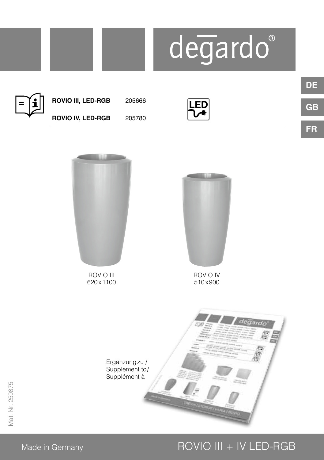

### Made in Germany **ROVIO III + IV LED-RGB**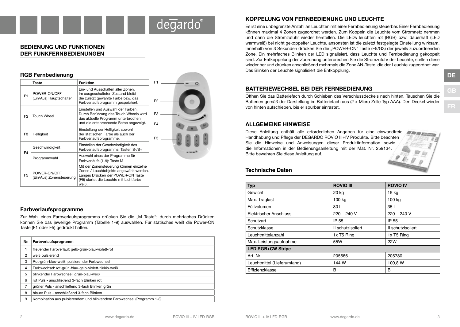## degardo

#### **BEDIENUNG UND FUNKTIONEN DER FUNKFERNBEDIENUNGEN**

#### **RGB Fernbedienung Taste Funktion** F1 Ein- und Ausschalten aller Zonen. Im ausgeschalteten Zustand bleibt F1 POWER-ON/OFF (Ein/Aus) Hauptschalter die zuletzt gewählte Farbe bzw. das F2 Farbverlaufsprogramm gespeichert. Einstellen und Auswahl der Farben. Durch Berührung des Touch Wheels wird F3  $F2$  Touch Wheel das aktuelle Programm unterbrochen und die entsprechende Farbe angezeigt.  $F<sub>4</sub>$ Einstellung der Helligkeit sowohl F3 Helligkeit der statischen Farbe als auch der Farbverlaufsprogramme. F5 Geschwindigkeit Einstellen der Geschwindigkeit des Farbverlaufsprogramms: Tasten S-/S+ across and F4 Programmwahl Auswahl eines der Programme für Farbverläufe (1-9): Taste M Mit der Zonensteuerung können einzelne Zonen / Leuchtobjekte angewählt werden.  $F5$  POWER-ON/OFF Langes Drücken der POWER-ON Taste (Ein/Aus) Zonensteuerung (F5) startet die Leuchte mit Lichtfarbe weiß.

#### **Farbverlaufsprogramme**

Zur Wahl eines Farbverlaufsprogramms drücken Sie die "M Taste"; durch mehrfaches Drücken können Sie das jeweilige Programm (Tabelle 1-9) auswählen. Für statisches weiß die Power-ON Taste (F1 oder F5) gedrückt halten.

| Nr. | Farbverlaufsprogramm                                                   |
|-----|------------------------------------------------------------------------|
|     | fließender Farbverlauf: gelb-grün-blau-violett-rot                     |
| 2   | weiß pulsierend                                                        |
| 3   | Rot-grün-blau-weiß: pulsierender Farbwechsel                           |
| 4   | Farbwechsel: rot-grün-blau-gelb-violett-türkis-weiß                    |
| 5   | blinkender Farbwechsel: grün-blau-weiß                                 |
| 6   | rot Puls - anschließend 3-fach Blinken rot                             |
|     | grüner Puls - anschließend 3-fach Blinken grün                         |
| 8   | blauer Puls - anschließend 3-fach Blinken                              |
| 9   | Kombination aus pulsierendem und blinkendem Farbwechsel (Programm 1-8) |

#### **KOPPELUNG VON FERNBEDIENUNG UND LEUCHTE**

Es ist eine unbegrenzte Anzahl an Leuchten mit einer Fernbedienung steuerbar. Einer Fernbedienung können maximal 4 Zonen zugeordnet werden. Zum Koppeln die Leuchte vom Stromnetz nehmen und dann die Stromzufuhr wieder herstellen. Die LEDs leuchten rot (RGB) bzw. dauerhaft (LED warmweiß) bei nicht gekoppelter Leuchte, ansonsten ist die zuletzt festgelegte Einstellung wirksam. Innerhalb von 3 Sekunden drücken Sie die "POWER-ON" Taste (F5/G3) der jeweils zuzuordnenden Zone. Ein mehrfaches Blinken der LED signalisiert, dass Leuchte und Fernbedienung gekoppelt sind. Zur Entkoppelung der Zuordnung unterbrechen Sie die Stromzufuhr der Leuchte, stellen diese wieder her und drücken anschließend mehrmals die Zone AN-Taste, die der Leuchte zugeordnet war. Das Blinken der Leuchte signalisiert die Entkopplung.

#### **BATTERIEWECHSEL BEI DER FERNBEDIENUNG**

Öffnen Sie das Batteriefach durch Schieben des Verschlussdeckels nach hinten. Tauschen Sie die Batterien gemäß der Darstellung im Batteriefach aus (2 x Micro Zelle Typ AAA). Den Deckel wieder von hinten aufschieben, bis er spürbar einrastet.

#### **ALLGEMEINE HINWEISE**

Diese Anleitung enthält alle erforderlichen Angaben für eine einwandfreie **METERS** Handhabung und Pflege der DEGARDO ROVIO III+IV Produkte. Bitte beachten Sie die Hinweise und Anweisungen dieser Produktinformation sowie die Informationen in der Bedienungsanleitung mit der Mat. Nr. 259134. Bitte bewahren Sie diese Anleitung auf.

#### **Technische Daten**

| <b>Typ</b>                  | <b>ROVIO III</b>  | <b>ROVIO IV</b>   |  |
|-----------------------------|-------------------|-------------------|--|
| Gewicht                     | 20 kg             | 15 kg             |  |
| Max. Traglast               | 100 kg            | 100 kg            |  |
| Füllvolumen                 | 80                | 351               |  |
| Elektrischer Anschluss      | $220 - 240$ V     | $220 - 240$ V     |  |
| Schutzart                   | IP 55             | IP 55             |  |
| Schutzklasse                | II schutzisoliert | II schutzisoliert |  |
| Leuchtmittelanzahl          | 1x T5 Ring        | 1x T5 Ring        |  |
| Max. Leistungsaufnahme      | 55W               | <b>22W</b>        |  |
| <b>LED RGB+CW Stripe</b>    |                   |                   |  |
| Art. Nr.                    | 205666            | 205780            |  |
| Leuchtmittel (Lieferumfang) | 144 W             | 100,8 W           |  |
| Effizienzklasse             | B                 | в                 |  |

**GB**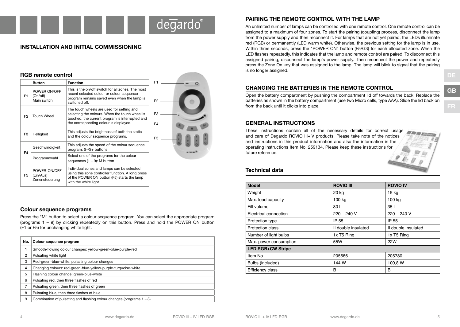### degardo

#### **INSTALLATION AND INITIAL COMMISSIONING**

|                | RGD remote control                          |                                                                                                                                                                                          |                      |
|----------------|---------------------------------------------|------------------------------------------------------------------------------------------------------------------------------------------------------------------------------------------|----------------------|
|                | <b>Button</b>                               | <b>Function</b>                                                                                                                                                                          | F <sub>1</sub>       |
| F1             | POWER ON/OFF<br>(On/off)<br>Main switch     | This is the on/off switch for all zones. The most<br>recent selected colour or colour sequence<br>program remains saved even when the lamp is<br>switched off.                           | $F2$ .               |
| F <sub>2</sub> | <b>Touch Wheel</b>                          | The touch wheels are used for setting and<br>selecting the colours. When the touch wheel is<br>touched, the current program is interrupted and<br>the corresponding colour is displayed. | F <sub>3</sub><br>F4 |
| F3             | Helligkeit                                  | This adjusts the brightness of both the static<br>and the colour sequence programs.                                                                                                      | F <sub>5</sub>       |
| F4             | Geschwindigkeit                             | This adjusts the speed of the colour sequence<br>program: S-/S+ buttons                                                                                                                  |                      |
|                | Programmwahl                                | Select one of the programs for the colour<br>sequences $(1 - 9)$ : M button                                                                                                              |                      |
| F5             | POWER-ON/OFF<br>(Ein/Aus)<br>Zonensteuerung | Individual zones and lamps can be selected<br>using this zone controller function. A long press<br>of the POWER ON button (F5) starts the lamp<br>with the white light.                  |                      |

#### **Colour sequence programs**

**RGB remote control**

Press the "M" button to select a colour sequence program. You can select the appropriate program (programs 1 – 9) by clicking repeatedly on this button. Press and hold the POWER ON button (F1 or F5) for unchanging white light.

| No.            | Colour sequence program                                                  |
|----------------|--------------------------------------------------------------------------|
| 1              | Smooth-flowing colour changes: yellow-green-blue-purple-red              |
| $\overline{2}$ | Pulsating white light                                                    |
| 3              | Red-green-blue-white: pulsating colour changes                           |
| $\overline{4}$ | Changing colours: red-green-blue-yellow-purple-turquoise-white           |
| 5              | Flashing colour change: green-blue-white                                 |
| 6              | Pulsating red, then three flashes of red                                 |
| 7              | Pulsating green, then three flashes of green                             |
| 8              | Pulsating blue, then three flashes of blue                               |
| 9              | Combination of pulsating and flashing colour changes (programs $1 - 8$ ) |

#### **PAIRING THE REMOTE CONTROL WITH THE LAMP**

An unlimited number of lamps can be controlled with one remote control. One remote control can be assigned to a maximum of four zones. To start the pairing (coupling) process, disconnect the lamp from the power supply and then reconnect it. For lamps that are not yet paired, the LEDs illuminate red (RGB) or permanently (LED warm white). Otherwise, the previous setting for the lamp is in use. Within three seconds, press the "POWER ON" button (F5/G3) for each allocated zone. When the LED flashes repeatedly, this indicates that the lamp and remote control are paired. To disconnect this assigned pairing, disconnect the lamp's power supply. Then reconnect the power and repeatedly press the Zone On key that was assigned to the lamp. The lamp will blink to signal that the pairing is no longer assigned.

#### **CHANGING THE BATTERIES IN THE REMOTE CONTROL**

Open the battery compartment by pushing the compartment lid off towards the back. Replace the batteries as shown in the battery compartment (use two Micro cells, type AAA). Slide the lid back on from the back until it clicks into place.

#### **GENERAL INSTRUCTIONS**

These instructions contain all of the necessary details for correct usage **METERS** and care of Degardo ROVIO III+IV products. Please take note of the notices and instructions in this product information and also the information in the operating instructions Item No. 259134. Please keep these instructions for future reference.

#### **Technical data**

| <b>Model</b>             | <b>ROVIO III</b>    | <b>ROVIO IV</b>     |  |  |
|--------------------------|---------------------|---------------------|--|--|
| Weight                   | 20 kg               | 15 kg               |  |  |
| Max. load capacity       | 100 kg              | 100 kg              |  |  |
| Fill volume              | 80                  | 351                 |  |  |
| Electrical connection    | $220 - 240$ V       | $220 - 240$ V       |  |  |
| Protection type          | IP 55               | IP 55               |  |  |
| Protection class         | II double insulated | II double insulated |  |  |
| Number of light bulbs    | 1x T5 Ring          | 1x T5 Ring          |  |  |
| Max. power consumption   | 55W                 | <b>22W</b>          |  |  |
| <b>LED RGB+CW Stripe</b> |                     |                     |  |  |
| Item No.                 | 205666              | 205780              |  |  |
| Bulbs (included)         | 144 W               | 100,8 W             |  |  |
| Efficiency class         | B                   | B                   |  |  |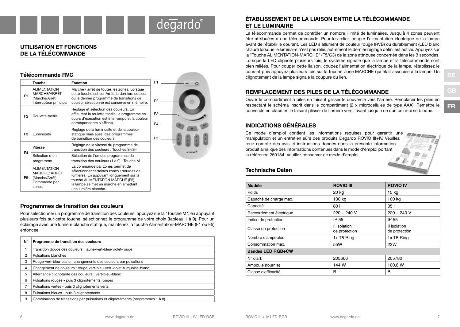# degardo

#### **UTILISATION ET FONCTIONS DE LA TÉLÉCOMMANDE**

**Télécommande RVG** 

| relecommande Ryg |                                                                                 |                                                                                                                                                                                                                              |                                  |
|------------------|---------------------------------------------------------------------------------|------------------------------------------------------------------------------------------------------------------------------------------------------------------------------------------------------------------------------|----------------------------------|
|                  | <b>Touche</b>                                                                   | <b>Fonction</b>                                                                                                                                                                                                              | F <sub>1</sub>                   |
| F <sub>1</sub>   | <b>ALIMENTATION</b><br>MARCHE/ARRÊT<br>(Marche/Arrêt)<br>Interrupteur principal | Marche / arrêt de toutes les zones. Lorsque<br>cette touche est sur Arrêt, la dernière couleur<br>ou le dernier programme de transitions de<br>couleur sélectionné est conservé en mémoire.                                  | F <sub>2</sub>                   |
| F <sub>2</sub>   | Roulette tactile                                                                | Réglage et sélection des couleurs. En<br>effleurant la roulette tactile, le programme en<br>cours d'exécution est interrompu et la couleur<br>correspondante s'affiche.                                                      | F <sub>3</sub><br>F <sub>4</sub> |
| F <sub>3</sub>   | Luminosité                                                                      | Réglage de la luminosité et de la couleur<br>statique mais aussi des programmes<br>de transition des couleurs.                                                                                                               | F <sub>5</sub>                   |
| F4               | Vitesse                                                                         | Réglage de la vitesse du programme de<br>transition des couleurs : Touches S-/S+                                                                                                                                             |                                  |
|                  | Sélection d'un<br>programme                                                     | Sélection de l'un des programmes de<br>transition des couleurs (1 à 9) : Touche M                                                                                                                                            |                                  |
| F5               | <b>ALIMENTATION</b><br>MARCHE/ ARRÊT<br>(Marche/Arrêt)<br>Commande par<br>zones | La commande par zones permet de<br>sélectionner certaines zones / sources de<br>lumières. En appuyant longuement sur la<br>touche ALIMENTATION MARCHE (F5),<br>la lampe se met en marche en émettant<br>une lumière blanche. |                                  |

#### **Programmes de transition des couleurs**

Pour sélectionner un programme de transition des couleurs, appuyez sur la "Touche M"; en appuyant plusieurs fois sur cette touche, sélectionnez le programme de votre choix (tableau 1 à 9). Pour un éclairage avec une lumière blanche statique, maintenez la touche Alimentation-MARCHE (F1 ou F5) enfoncée.

| $N^{\circ}$ | Programme de transition des couleurs                                          |
|-------------|-------------------------------------------------------------------------------|
|             | Transition douce des couleurs : jaune-vert-bleu-violet-rouge                  |
| 2           | Pulsations blanches                                                           |
| 3           | Rouge-vert-bleu-blanc: changements des couleurs par pulsations                |
| 4           | Changement de couleurs : rouge-vert-bleu-vert-violet-turquoise-blanc          |
| 5           | Alternance clignotante des couleurs : vert-bleu-blanc                         |
| 6           | Pulsations rouges - puis 3 clignotements rouges                               |
|             | Pulsations vertes - puis 3 clignotements verts                                |
| 8           | Pulsations bleues - puis 3 clignotements                                      |
| 9           | Combinaison de transitions par pulsations et clignotements (programmes 1 à 8) |

#### **ÉTABLISSEMENT DE LA LIAISON ENTRE LA TÉLÉCOMMANDE ET LE LUMINAIRE**

La télécommande permet de contrôler un nombre illimité de luminaires. Jusqu'à 4 zones peuvent être attribuées à une télécommande. Pour les relier, couper l'alimentation électrique de la lampe avant de rétablir le courant. Les LED s'allument de couleur rouge (RVB) ou durablement (LED blanc chaud) lorsque le luminaire n'est pas relié, autrement le dernier réglage défini est activé. Appuyez sur la "Touche ALIMENTATION-MARCHE" (F5/G3) de la zone attribuée concernée dans les 3 secondes. Lorsque la LED clignote plusieurs fois, le système signale que la lampe et la télécommande sont bien reliées. Pour couper cette liaison, coupez l'alimentation électrique de la lampe, rétablissez le courant puis appuyez plusieurs fois sur la touche Zone MARCHE qui était associée à la lampe. Un clignotement de la lampe signale la coupure du lien.

### **REMPLACEMENT DES PILES DE LA TÉLÉCOMMANDE**

Ouvrir le compartiment à piles en faisant glisser le couvercle vers l'arrière. Remplacer les piles en respectant le schéma inscrit dans le compartiment (2 x microcellules de type AAA). Remettre le couvercle en place en le faisant glisser de l'arrière vers l'avant jusqu'à ce que celui-ci se bloque.

#### **INDICATIONS GÉNÉRALES**

Ce mode d'emploi contient les informations requises pour garantir une **ALIMA** manipulation et un entretien sûrs des produits Degardo ROVIO III+IV. Veuillez tenir compte des avis et instructions donnés dans la présente information produit ainsi que des informations contenues dans le mode d'emploi portant la référence 259134. Veuillez conserver ce mode d'emploi.

#### **Technische Daten**

| Modèle                   | <b>ROVIO III</b>              | <b>ROVIO IV</b>               |  |
|--------------------------|-------------------------------|-------------------------------|--|
| Poids                    | 20 kg                         | $15$ kg                       |  |
| Capacité de charge max.  | 100 kg                        | 100 kg                        |  |
| Capacité                 | 80                            | 351                           |  |
| Raccordement électrique  | $220 - 240$ V                 | $220 - 240$ V                 |  |
| Indice de protection     | IP 55                         | IP 55                         |  |
| Classe de protection     | II isolation<br>de protection | II isolation<br>de protection |  |
| Nombre d'ampoules        | 1x T5 Ring                    | 1x T5 Ring                    |  |
| Consommation max.        | 55W                           | <b>22W</b>                    |  |
| <b>Bandes LED RGB+CW</b> |                               |                               |  |
| $N^{\circ}$ d'art.       | 205666                        | 205780                        |  |
| Ampoule (fournie)        | 144 W                         | 100,8 W                       |  |
| Classe d'efficacité      | B                             | в                             |  |